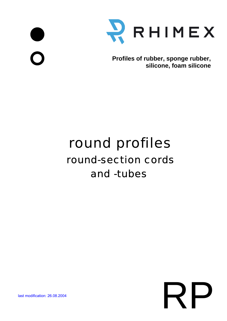



**Profiles of rubber, sponge rubber, silicone, foam silicone**

## round-section cords round profiles and -tubes

## **last modification: 26.08.2004**<br> **RPP 26.08.2004**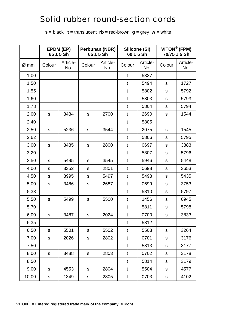|  |  | $s =$ black $t =$ translucent $rb =$ red-brown $g =$ grey $w =$ white |  |  |
|--|--|-----------------------------------------------------------------------|--|--|
|--|--|-----------------------------------------------------------------------|--|--|

|        | EPDM (EP)<br>$65 \pm 5$ Sh |                 | Perbunan (NBR)<br>$65 \pm 5$ Sh |                 | Silicone (SI)<br>$60 \pm 5$ Sh |                 | VITON <sup>®</sup> (FPM)<br>$70/75 \pm 5$ Sh |                 |
|--------|----------------------------|-----------------|---------------------------------|-----------------|--------------------------------|-----------------|----------------------------------------------|-----------------|
| $Ø$ mm | Colour                     | Article-<br>No. | Colour                          | Article-<br>No. | Colour                         | Article-<br>No. | Colour                                       | Article-<br>No. |
| 1,00   |                            |                 |                                 |                 | t                              | 5327            |                                              |                 |
| 1,50   |                            |                 |                                 |                 | t                              | 5494            | ${\mathsf S}$                                | 1727            |
| 1,55   |                            |                 |                                 |                 | $\mathbf t$                    | 5802            | S                                            | 5792            |
| 1,60   |                            |                 |                                 |                 | t                              | 5803            | ${\sf S}$                                    | 5793            |
| 1,78   |                            |                 |                                 |                 | t                              | 5804            | ${\sf S}$                                    | 5794            |
| 2,00   | ${\sf S}$                  | 3484            | $\mathsf{s}$                    | 2700            | t                              | 2690            | ${\mathsf S}$                                | 1544            |
| 2,40   |                            |                 |                                 |                 | $\mathbf t$                    | 5805            |                                              |                 |
| 2,50   | ${\sf S}$                  | 5236            | $\mathsf S$                     | 3544            | t                              | 2075            | ${\mathsf S}$                                | 1545            |
| 2,62   |                            |                 |                                 |                 | t                              | 5806            | ${\sf S}$                                    | 5795            |
| 3,00   | ${\mathsf s}$              | 3485            | $\mathsf S$                     | 2800            | t                              | 0697            | ${\sf S}$                                    | 3883            |
| 3,20   |                            |                 |                                 |                 | t                              | 5807            | ${\mathbb S}$                                | 5796            |
| 3,50   | $\mathsf S$                | 5495            | $\mathsf S$                     | 3545            | t                              | 5946            | ${\sf S}$                                    | 5448            |
| 4,00   | S                          | 3352            | $\mathsf S$                     | 2801            | t                              | 0698            | ${\sf s}$                                    | 3653            |
| 4,50   | ${\sf S}$                  | 3995            | ${\sf S}$                       | 5497            | t                              | 5498            | ${\sf S}$                                    | 5435            |
| 5,00   | ${\sf S}$                  | 3486            | $\mathsf S$                     | 2687            | t                              | 0699            | ${\sf S}$                                    | 3753            |
| 5,33   |                            |                 |                                 |                 | t                              | 5810            | S                                            | 5797            |
| 5,50   | S                          | 5499            | S                               | 5500            | t                              | 1456            | ${\sf S}$                                    | 0945            |
| 5,70   |                            |                 |                                 |                 | t                              | 5811            | ${\sf S}$                                    | 5798            |
| 6,00   | S                          | 3487            | S                               | 2024            | $^{\dagger}$                   | 0700            | $\mathsf{s}$                                 | 3833            |
| 6,35   |                            |                 |                                 |                 | t                              | 5812            |                                              |                 |
| 6,50   | ${\sf S}$                  | 5501            | S                               | 5502            | t                              | 5503            | ${\sf S}$                                    | 3264            |
| 7,00   | $\mathsf S$                | 2026            | S                               | 2802            | t                              | 0701            | ${\sf S}$                                    | 3176            |
| 7,50   |                            |                 |                                 |                 | t                              | 5813            | ${\sf S}$                                    | 3177            |
| 8,00   | ${\sf S}$                  | 3488            | S                               | 2803            | t                              | 0702            | ${\mathsf S}$                                | 3178            |
| 8,50   |                            |                 |                                 |                 | t                              | 5814            | ${\sf S}$                                    | 3179            |
| 9,00   | S                          | 4553            | S                               | 2804            | t                              | 5504            | ${\sf s}$                                    | 4577            |
| 10,00  | ${\sf S}$                  | 1349            | ${\sf S}$                       | 2805            | t                              | 0703            | ${\sf S}$                                    | 4102            |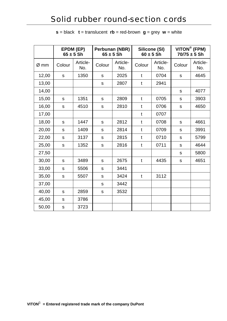|       | EPDM (EP)<br>$65 \pm 5$ Sh |                 | Perbunan (NBR)<br>$65 \pm 5$ Sh |                 | Silicone (SI)<br>$60 \pm 5$ Sh |                 | VITON® (FPM)<br>$70/75 \pm 5$ Sh |                 |
|-------|----------------------------|-----------------|---------------------------------|-----------------|--------------------------------|-----------------|----------------------------------|-----------------|
| Ø mm  | Colour                     | Article-<br>No. | Colour                          | Article-<br>No. | Colour                         | Article-<br>No. | Colour                           | Article-<br>No. |
| 12,00 | $\mathsf S$                | 1350            | ${\sf S}$                       | 2025            | t                              | 0704            | ${\sf s}$                        | 4645            |
| 13,00 |                            |                 | S                               | 2807            | t                              | 2941            |                                  |                 |
| 14,00 |                            |                 |                                 |                 |                                |                 | ${\sf s}$                        | 4077            |
| 15,00 | S                          | 1351            | S                               | 2809            | $\mathbf t$                    | 0705            | ${\mathsf S}$                    | 3903            |
| 16,00 | S                          | 4510            | ${\sf S}$                       | 2810            | $\mathfrak{t}$                 | 0706            | ${\sf s}$                        | 4650            |
| 17,00 |                            |                 |                                 |                 | $\mathbf t$                    | 0707            |                                  |                 |
| 18,00 | $\mathsf{s}$               | 1447            | ${\sf S}$                       | 2812            | $\mathbf t$                    | 0708            | ${\sf s}$                        | 4661            |
| 20,00 | ${\mathsf S}$              | 1409            | S                               | 2814            | $\mathbf t$                    | 0709            | ${\mathsf S}$                    | 3991            |
| 22,00 | $\mathsf S$                | 3137            | ${\sf S}$                       | 2815            | t                              | 0710            | ${\mathsf S}$                    | 5799            |
| 25,00 | ${\sf S}$                  | 1352            | ${\sf S}$                       | 2816            | $\mathbf t$                    | 0711            | ${\mathbb S}$                    | 4644            |
| 27,50 |                            |                 |                                 |                 |                                |                 | ${\sf s}$                        | 5800            |
| 30,00 | S                          | 3489            | S                               | 2675            | $\mathbf t$                    | 4435            | $\mathbf S$                      | 4651            |
| 33,00 | ${\mathsf S}$              | 5506            | ${\sf S}$                       | 3441            |                                |                 |                                  |                 |
| 35,00 | $\mathsf{s}$               | 5507            | S                               | 3424            | $\mathbf t$                    | 3112            |                                  |                 |
| 37,00 |                            |                 | $\mathsf S$                     | 3442            |                                |                 |                                  |                 |
| 40,00 | S                          | 2859            | S                               | 3532            |                                |                 |                                  |                 |
| 45,00 | $\mathsf S$                | 3786            |                                 |                 |                                |                 |                                  |                 |
| 50,00 | $\mathsf S$                | 3723            |                                 |                 |                                |                 |                                  |                 |

**s** = black  $t =$  translucent  $rb =$  red-brown  $g =$  grey  $w =$  white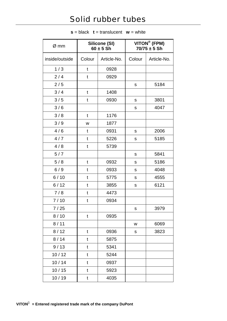## Solid rubber tubes

| Ø mm           | Silicone (SI)<br>$60 \pm 5$ Sh |             | VITON® (FPM)<br>$70/75 \pm 5$ Sh |             |
|----------------|--------------------------------|-------------|----------------------------------|-------------|
| inside/outside | Colour                         | Article-No. | Colour                           | Article-No. |
| 1/3            | t                              | 0928        |                                  |             |
| 2/4            | t                              | 0929        |                                  |             |
| 2/5            |                                |             | ${\sf S}$                        | 5184        |
| 3/4            | t                              | 1408        |                                  |             |
| 3/5            | $\mathfrak t$                  | 0930        | ${\sf S}$                        | 3801        |
| 3/6            |                                |             | S                                | 4047        |
| 3/8            | t                              | 1176        |                                  |             |
| 3/9            | W                              | 1877        |                                  |             |
| 4/6            | t                              | 0931        | S                                | 2006        |
| 4/7            | t                              | 5226        | S                                | 5185        |
| 4/8            | t                              | 5739        |                                  |             |
| 5/7            |                                |             | ${\sf S}$                        | 5841        |
| 5/8            | $\mathfrak t$                  | 0932        | ${\mathbb S}$                    | 5186        |
| 6/9            | t                              | 0933        | ${\mathsf S}$                    | 4048        |
| 6/10           | t                              | 5775        | ${\sf S}$                        | 4555        |
| 6/12           | t                              | 3855        | S                                | 6121        |
| 7/8            | t                              | 4473        |                                  |             |
| 7/10           | t                              | 0934        |                                  |             |
| 7/25           |                                |             | S                                | 3979        |
| 8/10           | t                              | 0935        |                                  |             |
| 8/11           |                                |             | W                                | 6069        |
| 8/12           | $\mathfrak t$                  | 0936        | S                                | 3823        |
| 8/14           | t                              | 5875        |                                  |             |
| 9/13           | t                              | 5341        |                                  |             |
| 10/12          | t                              | 5244        |                                  |             |
| 10/14          | $\mathfrak{t}$                 | 0937        |                                  |             |
| 10/15          | t                              | 5923        |                                  |             |
| 10/19          | t                              | 4035        |                                  |             |

 $s = black$  **t** = translucent **w** = white